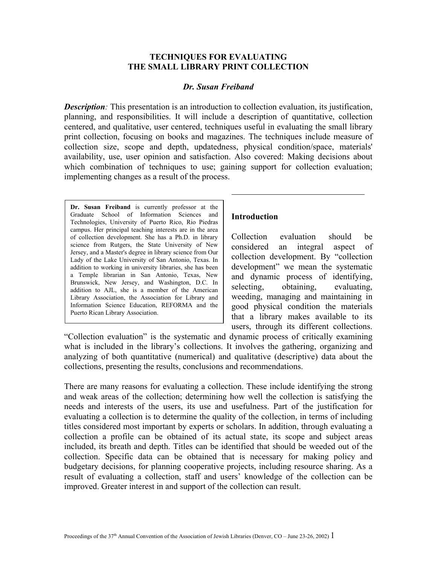## **TECHNIQUES FOR EVALUATING THE SMALL LIBRARY PRINT COLLECTION**

#### *Dr. Susan Freiband*

*Description:* This presentation is an introduction to collection evaluation, its justification, planning, and responsibilities. It will include a description of quantitative, collection centered, and qualitative, user centered, techniques useful in evaluating the small library print collection, focusing on books and magazines. The techniques include measure of collection size, scope and depth, updatedness, physical condition/space, materials' availability, use, user opinion and satisfaction. Also covered: Making decisions about which combination of techniques to use; gaining support for collection evaluation; implementing changes as a result of the process.

**Dr. Susan Freiband** is currently professor at the Graduate School of Information Sciences and Technologies, University of Puerto Rico, Rio Piedras campus. Her principal teaching interests are in the area of collection development. She has a Ph.D. in library science from Rutgers, the State University of New Jersey, and a Master's degree in library science from Our Lady of the Lake University of San Antonio, Texas. In addition to working in university libraries, she has been a Temple librarian in San Antonio, Texas, New Brunswick, New Jersey, and Washington, D.C. In addition to AJL, she is a member of the American Library Association, the Association for Library and Information Science Education, REFORMA and the Puerto Rican Library Association.

## **Introduction**

Collection evaluation should be considered an integral aspect of collection development. By "collection development" we mean the systematic and dynamic process of identifying, selecting, obtaining, evaluating, weeding, managing and maintaining in good physical condition the materials that a library makes available to its users, through its different collections.

"Collection evaluation" is the systematic and dynamic process of critically examining what is included in the library's collections. It involves the gathering, organizing and analyzing of both quantitative (numerical) and qualitative (descriptive) data about the collections, presenting the results, conclusions and recommendations.

There are many reasons for evaluating a collection. These include identifying the strong and weak areas of the collection; determining how well the collection is satisfying the needs and interests of the users, its use and usefulness. Part of the justification for evaluating a collection is to determine the quality of the collection, in terms of including titles considered most important by experts or scholars. In addition, through evaluating a collection a profile can be obtained of its actual state, its scope and subject areas included, its breath and depth. Titles can be identified that should be weeded out of the collection. Specific data can be obtained that is necessary for making policy and budgetary decisions, for planning cooperative projects, including resource sharing. As a result of evaluating a collection, staff and users' knowledge of the collection can be improved. Greater interest in and support of the collection can result.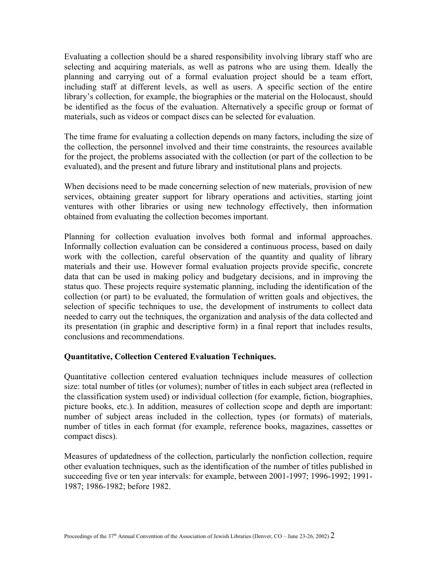Evaluating a collection should be a shared responsibility involving library staff who are selecting and acquiring materials, as well as patrons who are using them. Ideally the planning and carrying out of a formal evaluation project should be a team effort, including staff at different levels, as well as users. A specific section of the entire library's collection, for example, the biographies or the material on the Holocaust, should be identified as the focus of the evaluation. Alternatively a specific group or format of materials, such as videos or compact discs can be selected for evaluation.

The time frame for evaluating a collection depends on many factors, including the size of the collection, the personnel involved and their time constraints, the resources available for the project, the problems associated with the collection (or part of the collection to be evaluated), and the present and future library and institutional plans and projects.

When decisions need to be made concerning selection of new materials, provision of new services, obtaining greater support for library operations and activities, starting joint ventures with other libraries or using new technology effectively, then information obtained from evaluating the collection becomes important.

Planning for collection evaluation involves both formal and informal approaches. Informally collection evaluation can be considered a continuous process, based on daily work with the collection, careful observation of the quantity and quality of library materials and their use. However formal evaluation projects provide specific, concrete data that can be used in making policy and budgetary decisions, and in improving the status quo. These projects require systematic planning, including the identification of the collection (or part) to be evaluated, the formulation of written goals and objectives, the selection of specific techniques to use, the development of instruments to collect data needed to carry out the techniques, the organization and analysis of the data collected and its presentation (in graphic and descriptive form) in a final report that includes results, conclusions and recommendations.

## **Quantitative, Collection Centered Evaluation Techniques.**

Quantitative collection centered evaluation techniques include measures of collection size: total number of titles (or volumes); number of titles in each subject area (reflected in the classification system used) or individual collection (for example, fiction, biographies, picture books, etc.). In addition, measures of collection scope and depth are important: number of subject areas included in the collection, types (or formats) of materials, number of titles in each format (for example, reference books, magazines, cassettes or compact discs).

Measures of updatedness of the collection, particularly the nonfiction collection, require other evaluation techniques, such as the identification of the number of titles published in succeeding five or ten year intervals: for example, between 2001-1997; 1996-1992; 1991- 1987; 1986-1982; before 1982.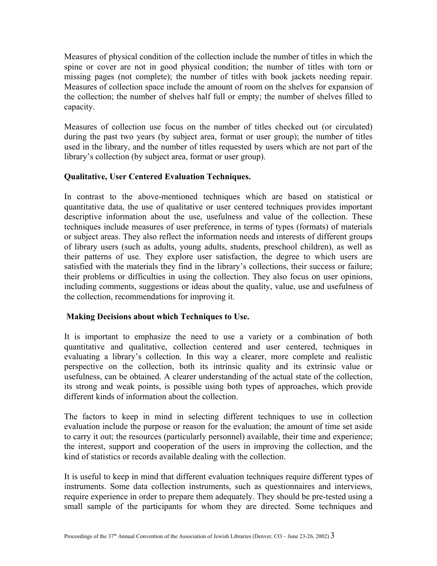Measures of physical condition of the collection include the number of titles in which the spine or cover are not in good physical condition; the number of titles with torn or missing pages (not complete); the number of titles with book jackets needing repair. Measures of collection space include the amount of room on the shelves for expansion of the collection; the number of shelves half full or empty; the number of shelves filled to capacity.

Measures of collection use focus on the number of titles checked out (or circulated) during the past two years (by subject area, format or user group); the number of titles used in the library, and the number of titles requested by users which are not part of the library's collection (by subject area, format or user group).

# **Qualitative, User Centered Evaluation Techniques.**

In contrast to the above-mentioned techniques which are based on statistical or quantitative data, the use of qualitative or user centered techniques provides important descriptive information about the use, usefulness and value of the collection. These techniques include measures of user preference, in terms of types (formats) of materials or subject areas. They also reflect the information needs and interests of different groups of library users (such as adults, young adults, students, preschool children), as well as their patterns of use. They explore user satisfaction, the degree to which users are satisfied with the materials they find in the library's collections, their success or failure; their problems or difficulties in using the collection. They also focus on user opinions, including comments, suggestions or ideas about the quality, value, use and usefulness of the collection, recommendations for improving it.

## **Making Decisions about which Techniques to Use.**

It is important to emphasize the need to use a variety or a combination of both quantitative and qualitative, collection centered and user centered, techniques in evaluating a library's collection. In this way a clearer, more complete and realistic perspective on the collection, both its intrinsic quality and its extrinsic value or usefulness, can be obtained. A clearer understanding of the actual state of the collection, its strong and weak points, is possible using both types of approaches, which provide different kinds of information about the collection.

The factors to keep in mind in selecting different techniques to use in collection evaluation include the purpose or reason for the evaluation; the amount of time set aside to carry it out; the resources (particularly personnel) available, their time and experience; the interest, support and cooperation of the users in improving the collection, and the kind of statistics or records available dealing with the collection.

It is useful to keep in mind that different evaluation techniques require different types of instruments. Some data collection instruments, such as questionnaires and interviews, require experience in order to prepare them adequately. They should be pre-tested using a small sample of the participants for whom they are directed. Some techniques and